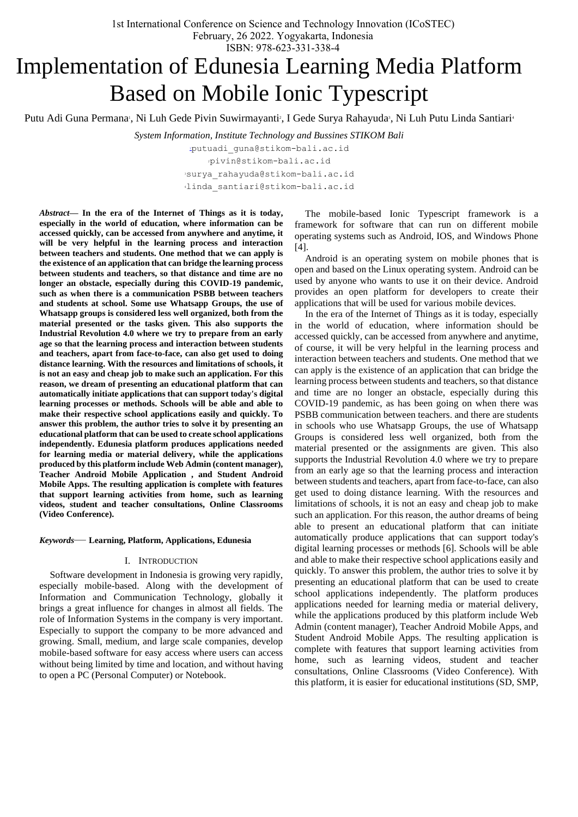ISBN: 978-623-331-338-4

# Implementation of Edunesia Learning Media Platform Based on Mobile Ionic Typescript

Putu Adi Guna Permana<sup>,</sup> Ni Luh Gede Pivin Suwirmayanti<sup>2</sup>, I Gede Surya Rahayuda<sup>3</sup>, Ni Luh Putu Linda Santiari<sup>3</sup>

*System Information, Institute Technology and Bussines STIKOM Bali*

[p](mailto:1first.author@first-third.edu)utuadi\_guna@stikom-bali.ac.id pivin@stikom-bali.ac.id [surya\\_rahayuda@stikom-bali.ac.id](mailto:3surya_rahayuda@stikom-bali.ac.id) [linda\\_santiari@stikom-bali.ac.id](mailto:4linda_santiari@stikom-bali.ac.id)

*Abstract—* **In the era of the Internet of Things as it is today, especially in the world of education, where information can be accessed quickly, can be accessed from anywhere and anytime, it will be very helpful in the learning process and interaction between teachers and students. One method that we can apply is the existence of an application that can bridge the learning process between students and teachers, so that distance and time are no longer an obstacle, especially during this COVID-19 pandemic, such as when there is a communication PSBB between teachers and students at school. Some use Whatsapp Groups, the use of Whatsapp groups is considered less well organized, both from the material presented or the tasks given. This also supports the Industrial Revolution 4.0 where we try to prepare from an early age so that the learning process and interaction between students and teachers, apart from face-to-face, can also get used to doing distance learning. With the resources and limitations of schools, it is not an easy and cheap job to make such an application. For this reason, we dream of presenting an educational platform that can automatically initiate applications that can support today's digital learning processes or methods. Schools will be able and able to make their respective school applications easily and quickly. To answer this problem, the author tries to solve it by presenting an educational platform that can be used to create school applications independently. Edunesia platform produces applications needed for learning media or material delivery, while the applications produced by this platform include Web Admin (content manager), Teacher Android Mobile Application , and Student Android Mobile Apps. The resulting application is complete with features that support learning activities from home, such as learning videos, student and teacher consultations, Online Classrooms (Video Conference).**

#### *Keywords*— **Learning, Platform, Applications, Edunesia**

## I. INTRODUCTION

Software development in Indonesia is growing very rapidly, especially mobile-based. Along with the development of Information and Communication Technology, globally it brings a great influence for changes in almost all fields. The role of Information Systems in the company is very important. Especially to support the company to be more advanced and growing. Small, medium, and large scale companies, develop mobile-based software for easy access where users can access without being limited by time and location, and without having to open a PC (Personal Computer) or Notebook.

The mobile-based Ionic Typescript framework is a framework for software that can run on different mobile operating systems such as Android, IOS, and Windows Phone [4].

Android is an operating system on mobile phones that is open and based on the Linux operating system. Android can be used by anyone who wants to use it on their device. Android provides an open platform for developers to create their applications that will be used for various mobile devices.

In the era of the Internet of Things as it is today, especially in the world of education, where information should be accessed quickly, can be accessed from anywhere and anytime, of course, it will be very helpful in the learning process and interaction between teachers and students. One method that we can apply is the existence of an application that can bridge the learning process between students and teachers, so that distance and time are no longer an obstacle, especially during this COVID-19 pandemic, as has been going on when there was PSBB communication between teachers. and there are students in schools who use Whatsapp Groups, the use of Whatsapp Groups is considered less well organized, both from the material presented or the assignments are given. This also supports the Industrial Revolution 4.0 where we try to prepare from an early age so that the learning process and interaction between students and teachers, apart from face-to-face, can also get used to doing distance learning. With the resources and limitations of schools, it is not an easy and cheap job to make such an application. For this reason, the author dreams of being able to present an educational platform that can initiate automatically produce applications that can support today's digital learning processes or methods [6]. Schools will be able and able to make their respective school applications easily and quickly. To answer this problem, the author tries to solve it by presenting an educational platform that can be used to create school applications independently. The platform produces applications needed for learning media or material delivery, while the applications produced by this platform include Web Admin (content manager), Teacher Android Mobile Apps, and Student Android Mobile Apps. The resulting application is complete with features that support learning activities from home, such as learning videos, student and teacher consultations, Online Classrooms (Video Conference). With this platform, it is easier for educational institutions (SD, SMP,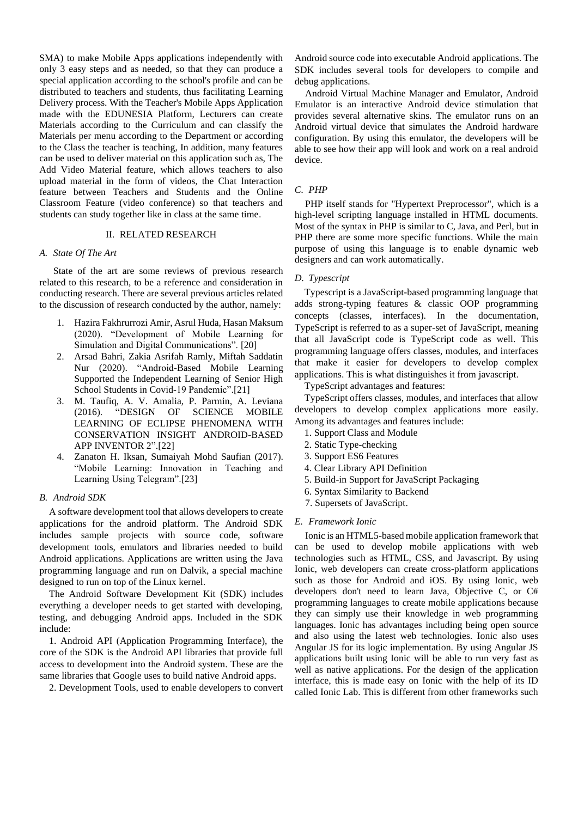SMA) to make Mobile Apps applications independently with only 3 easy steps and as needed, so that they can produce a special application according to the school's profile and can be distributed to teachers and students, thus facilitating Learning Delivery process. With the Teacher's Mobile Apps Application made with the EDUNESIA Platform, Lecturers can create Materials according to the Curriculum and can classify the Materials per menu according to the Department or according to the Class the teacher is teaching, In addition, many features can be used to deliver material on this application such as, The Add Video Material feature, which allows teachers to also upload material in the form of videos, the Chat Interaction feature between Teachers and Students and the Online Classroom Feature (video conference) so that teachers and students can study together like in class at the same time.

### II. RELATED RESEARCH

#### *A. State Of The Art*

State of the art are some reviews of previous research related to this research, to be a reference and consideration in conducting research. There are several previous articles related to the discussion of research conducted by the author, namely:

- 1. Hazira Fakhrurrozi Amir, Asrul Huda, Hasan Maksum (2020). "Development of Mobile Learning for Simulation and Digital Communications". [20]
- 2. Arsad Bahri, Zakia Asrifah Ramly, Miftah Saddatin Nur (2020). "Android-Based Mobile Learning Supported the Independent Learning of Senior High School Students in Covid-19 Pandemic".[21]
- 3. M. Taufiq, A. V. Amalia, P. Parmin, A. Leviana (2016). "DESIGN OF SCIENCE MOBILE LEARNING OF ECLIPSE PHENOMENA WITH CONSERVATION INSIGHT ANDROID-BASED APP INVENTOR 2".[22]
- 4. Zanaton H. Iksan, Sumaiyah Mohd Saufian (2017). "Mobile Learning: Innovation in Teaching and Learning Using Telegram".[23]

### *B. Android SDK*

A software development tool that allows developers to create applications for the android platform. The Android SDK includes sample projects with source code, software development tools, emulators and libraries needed to build Android applications. Applications are written using the Java programming language and run on Dalvik, a special machine designed to run on top of the Linux kernel.

The Android Software Development Kit (SDK) includes everything a developer needs to get started with developing, testing, and debugging Android apps. Included in the SDK include:

1. Android API (Application Programming Interface), the core of the SDK is the Android API libraries that provide full access to development into the Android system. These are the same libraries that Google uses to build native Android apps.

2. Development Tools, used to enable developers to convert

Android source code into executable Android applications. The SDK includes several tools for developers to compile and debug applications.

Android Virtual Machine Manager and Emulator, Android Emulator is an interactive Android device stimulation that provides several alternative skins. The emulator runs on an Android virtual device that simulates the Android hardware configuration. By using this emulator, the developers will be able to see how their app will look and work on a real android device.

# *C. PHP*

PHP itself stands for "Hypertext Preprocessor", which is a high-level scripting language installed in HTML documents. Most of the syntax in PHP is similar to C, Java, and Perl, but in PHP there are some more specific functions. While the main purpose of using this language is to enable dynamic web designers and can work automatically.

#### *D. Typescript*

Typescript is a JavaScript-based programming language that adds strong-typing features & classic OOP programming concepts (classes, interfaces). In the documentation, TypeScript is referred to as a super-set of JavaScript, meaning that all JavaScript code is TypeScript code as well. This programming language offers classes, modules, and interfaces that make it easier for developers to develop complex applications. This is what distinguishes it from javascript.

TypeScript advantages and features:

TypeScript offers classes, modules, and interfaces that allow developers to develop complex applications more easily. Among its advantages and features include:

- 1. Support Class and Module
- 2. Static Type-checking
- 3. Support ES6 Features
- 4. Clear Library API Definition
- 5. Build-in Support for JavaScript Packaging
- 6. Syntax Similarity to Backend
- 7. Supersets of JavaScript.

#### *E. Framework Ionic*

Ionic is an HTML5-based mobile application framework that can be used to develop mobile applications with web technologies such as HTML, CSS, and Javascript. By using Ionic, web developers can create cross-platform applications such as those for Android and iOS. By using Ionic, web developers don't need to learn Java, Objective C, or C# programming languages to create mobile applications because they can simply use their knowledge in web programming languages. Ionic has advantages including being open source and also using the latest web technologies. Ionic also uses Angular JS for its logic implementation. By using Angular JS applications built using Ionic will be able to run very fast as well as native applications. For the design of the application interface, this is made easy on Ionic with the help of its ID called Ionic Lab. This is different from other frameworks such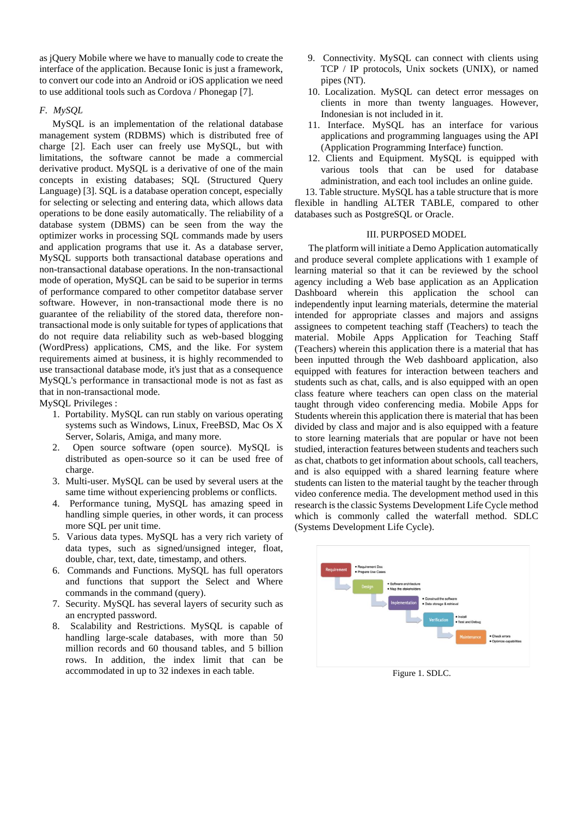as jQuery Mobile where we have to manually code to create the interface of the application. Because Ionic is just a framework, to convert our code into an Android or iOS application we need to use additional tools such as Cordova / Phonegap [7].

# *F. MySQL*

MySQL is an implementation of the relational database management system (RDBMS) which is distributed free of charge [2]. Each user can freely use MySQL, but with limitations, the software cannot be made a commercial derivative product. MySQL is a derivative of one of the main concepts in existing databases; SQL (Structured Query Language) [3]. SQL is a database operation concept, especially for selecting or selecting and entering data, which allows data operations to be done easily automatically. The reliability of a database system (DBMS) can be seen from the way the optimizer works in processing SQL commands made by users and application programs that use it. As a database server, MySQL supports both transactional database operations and non-transactional database operations. In the non-transactional mode of operation, MySQL can be said to be superior in terms of performance compared to other competitor database server software. However, in non-transactional mode there is no guarantee of the reliability of the stored data, therefore nontransactional mode is only suitable for types of applications that do not require data reliability such as web-based blogging (WordPress) applications, CMS, and the like. For system requirements aimed at business, it is highly recommended to use transactional database mode, it's just that as a consequence MySQL's performance in transactional mode is not as fast as that in non-transactional mode.

MySQL Privileges :

- 1. Portability. MySQL can run stably on various operating systems such as Windows, Linux, FreeBSD, Mac Os X Server, Solaris, Amiga, and many more.
- 2. Open source software (open source). MySQL is distributed as open-source so it can be used free of charge.
- 3. Multi-user. MySQL can be used by several users at the same time without experiencing problems or conflicts.
- 4. Performance tuning, MySQL has amazing speed in handling simple queries, in other words, it can process more SQL per unit time.
- 5. Various data types. MySQL has a very rich variety of data types, such as signed/unsigned integer, float, double, char, text, date, timestamp, and others.
- 6. Commands and Functions. MySQL has full operators and functions that support the Select and Where commands in the command (query).
- 7. Security. MySQL has several layers of security such as an encrypted password.
- 8. Scalability and Restrictions. MySQL is capable of handling large-scale databases, with more than 50 million records and 60 thousand tables, and 5 billion rows. In addition, the index limit that can be accommodated in up to 32 indexes in each table.
- 9. Connectivity. MySQL can connect with clients using TCP / IP protocols, Unix sockets (UNIX), or named pipes (NT).
- 10. Localization. MySQL can detect error messages on clients in more than twenty languages. However, Indonesian is not included in it.
- 11. Interface. MySQL has an interface for various applications and programming languages using the API (Application Programming Interface) function.
- 12. Clients and Equipment. MySQL is equipped with various tools that can be used for database administration, and each tool includes an online guide.

13. Table structure. MySQL has a table structure that is more flexible in handling ALTER TABLE, compared to other databases such as PostgreSQL or Oracle.

### III. PURPOSED MODEL

The platform will initiate a Demo Application automatically and produce several complete applications with 1 example of learning material so that it can be reviewed by the school agency including a Web base application as an Application Dashboard wherein this application the school can independently input learning materials, determine the material intended for appropriate classes and majors and assigns assignees to competent teaching staff (Teachers) to teach the material. Mobile Apps Application for Teaching Staff (Teachers) wherein this application there is a material that has been inputted through the Web dashboard application, also equipped with features for interaction between teachers and students such as chat, calls, and is also equipped with an open class feature where teachers can open class on the material taught through video conferencing media. Mobile Apps for Students wherein this application there is material that has been divided by class and major and is also equipped with a feature to store learning materials that are popular or have not been studied, interaction features between students and teachers such as chat, chatbots to get information about schools, call teachers, and is also equipped with a shared learning feature where students can listen to the material taught by the teacher through video conference media. The development method used in this research is the classic Systems Development Life Cycle method which is commonly called the waterfall method. SDLC (Systems Development Life Cycle).



Figure 1. SDLC.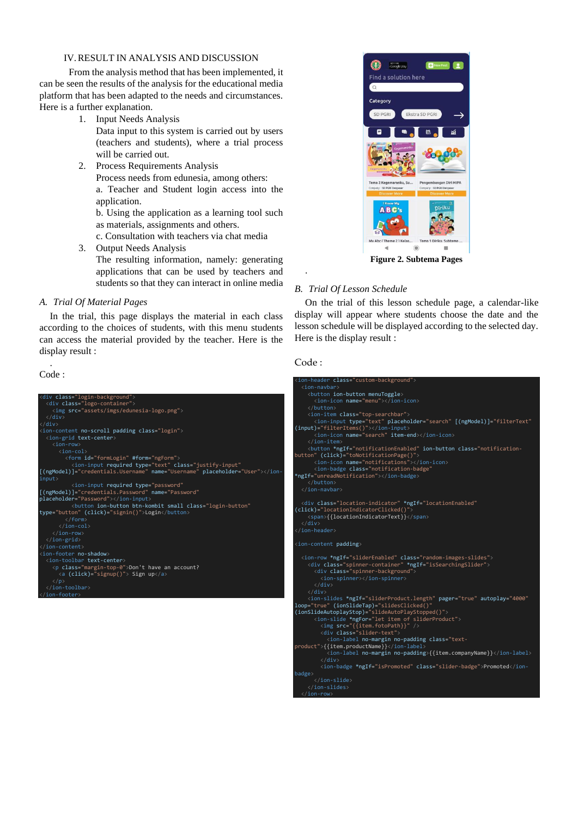# IV.RESULT IN ANALYSIS AND DISCUSSION

From the analysis method that has been implemented, it can be seen the results of the analysis for the educational media platform that has been adapted to the needs and circumstances. Here is a further explanation.

1. Input Needs Analysis

Data input to this system is carried out by users (teachers and students), where a trial process will be carried out.

2. Process Requirements Analysis Process needs from edunesia, among others: a. Teacher and Student login access into the application.

b. Using the application as a learning tool such as materials, assignments and others.

c. Consultation with teachers via chat media

3. Output Needs Analysis The resulting information, namely: generating applications that can be used by teachers and students so that they can interact in online media

# *A. Trial Of Material Pages*

In the trial, this page displays the material in each class according to the choices of students, with this menu students can access the material provided by the teacher. Here is the display result :

. Code :





**Figure 2. Subtema Pages**

# *B. Trial Of Lesson Schedule*

On the trial of this lesson schedule page, a calendar-like display will appear where students choose the date and the lesson schedule will be displayed according to the selected day. Here is the display result :

# Code :

.

| <ion-header class="custom-background"></ion-header>                                                                                                              |
|------------------------------------------------------------------------------------------------------------------------------------------------------------------|
| $\langle$ ion-navhar $\rangle$                                                                                                                                   |
| <button ion-button="" menutoggle=""></button>                                                                                                                    |
| <ion-icon name="menu"></ion-icon>                                                                                                                                |
|                                                                                                                                                                  |
| <ion-item class="top-searchbar"></ion-item>                                                                                                                      |
| <ion-input <="" [(ngmodel)]="filterText" placeholder="search" td="" type="text"></ion-input>                                                                     |
| (input)="filterItems()">                                                                                                                                         |
| <ion-icon item-end="" name="search"></ion-icon>                                                                                                                  |
| $\langle$ /ion-item>                                                                                                                                             |
| <button (click)="toNotificationPage()" *ngif="notificationEnabled" class="notification-&lt;/td&gt;&lt;/tr&gt;&lt;tr&gt;&lt;td&gt;button" ion-button=""></button> |
| <ion-icon name="notifications"></ion-icon>                                                                                                                       |
| <ion-badge <="" class="notification-badge" td=""></ion-badge>                                                                                                    |
| *ngIf="unreadNotification">                                                                                                                                      |
|                                                                                                                                                                  |
|                                                                                                                                                                  |
|                                                                                                                                                                  |
| <div *ngif="locationEnabled" <="" class="location-indicator" td=""></div>                                                                                        |
| (click)="locationIndicatorClicked()">                                                                                                                            |
| <span>{{locationIndicatorText}}</span>                                                                                                                           |
| $\langle$ /div>                                                                                                                                                  |
|                                                                                                                                                                  |
|                                                                                                                                                                  |
|                                                                                                                                                                  |
| <ion-content padding=""></ion-content>                                                                                                                           |
|                                                                                                                                                                  |
| <ion-row *ngif="sliderEnabled" class="random-images-slides"></ion-row>                                                                                           |
| <div *ngif="isSearchingSlider" class="spinner-container"></div>                                                                                                  |
| <div class="spinner-background"></div>                                                                                                                           |
| <ion-spinner></ion-spinner>                                                                                                                                      |
| $\langle$ /div>                                                                                                                                                  |
| $\langle$ /div>                                                                                                                                                  |
| <ion-slides *ngif="sliderProduct.length" <="" autoplay="4000" pager="true" td=""></ion-slides>                                                                   |
| loop="true" (ionSlideTap)="slidesClicked()"                                                                                                                      |
| (ionSlideAutoplayStop)="slideAutoPlayStopped()">                                                                                                                 |
| <ion-slide *ngfor="let item of sliderProduct"></ion-slide>                                                                                                       |
| <img src="{{item.fotoPath}}"/>                                                                                                                                   |
| <div class="slider-text"></div>                                                                                                                                  |
| <ion-label class="text-&lt;/td&gt;&lt;/tr&gt;&lt;tr&gt;&lt;td&gt;product" no-margin="" no-padding="">{{item.productName}}</ion-label>                            |
| <ion-label no-margin="" no-padding="">{{item.companyName}}</ion-label>                                                                                           |
| $\langle$ /div>                                                                                                                                                  |
| <ion-badge *ngif="isPromoted" class="slider-badge">Promoted</ion-badge>                                                                                          |
| badge>                                                                                                                                                           |
| $\langle$ /ion-slide><br>$\langle$ /ion-slides>                                                                                                                  |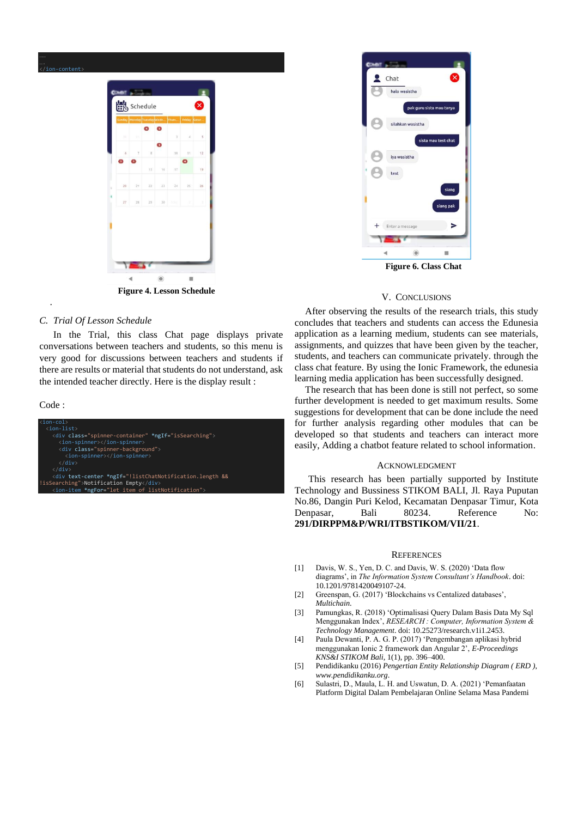

**Figure 4. Lesson Schedule**

#### *C. Trial Of Lesson Schedule*

In the Trial, this class Chat page displays private conversations between teachers and students, so this menu is very good for discussions between teachers and students if there are results or material that students do not understand, ask the intended teacher directly. Here is the display result :

Code :

.





### V. CONCLUSIONS

After observing the results of the research trials, this study concludes that teachers and students can access the Edunesia application as a learning medium, students can see materials, assignments, and quizzes that have been given by the teacher, students, and teachers can communicate privately. through the class chat feature. By using the Ionic Framework, the edunesia learning media application has been successfully designed.

The research that has been done is still not perfect, so some further development is needed to get maximum results. Some suggestions for development that can be done include the need for further analysis regarding other modules that can be developed so that students and teachers can interact more easily, Adding a chatbot feature related to school information.

#### ACKNOWLEDGMENT

This research has been partially supported by Institute Technology and Bussiness STIKOM BALI, Jl. Raya Puputan No.86, Dangin Puri Kelod, Kecamatan Denpasar Timur, Kota Denpasar, Bali 80234. Reference No: **291/DIRPPM&P/WRI/ITBSTIKOM/VII/21**.

#### **REFERENCES**

- [1] Davis, W. S., Yen, D. C. and Davis, W. S. (2020) 'Data flow diagrams', in *The Information System Consultant's Handbook*. doi: 10.1201/9781420049107-24.
- [2] Greenspan, G. (2017) 'Blockchains vs Centalized databases', *Multichain*.
- [3] Pamungkas, R. (2018) 'Optimalisasi Query Dalam Basis Data My Sql Menggunakan Index', *RESEARCH : Computer, Information System & Technology Management*. doi: 10.25273/research.v1i1.2453.
- [4] Paula Dewanti, P. A. G. P. (2017) 'Pengembangan aplikasi hybrid menggunakan Ionic 2 framework dan Angular 2', *E-Proceedings KNS&I STIKOM Bali*, 1(1), pp. 396–400.
- [5] Pendidikanku (2016) *Pengertian Entity Relationship Diagram ( ERD )*, *www.pendidikanku.org*.
- [6] Sulastri, D., Maula, L. H. and Uswatun, D. A. (2021) 'Pemanfaatan Platform Digital Dalam Pembelajaran Online Selama Masa Pandemi